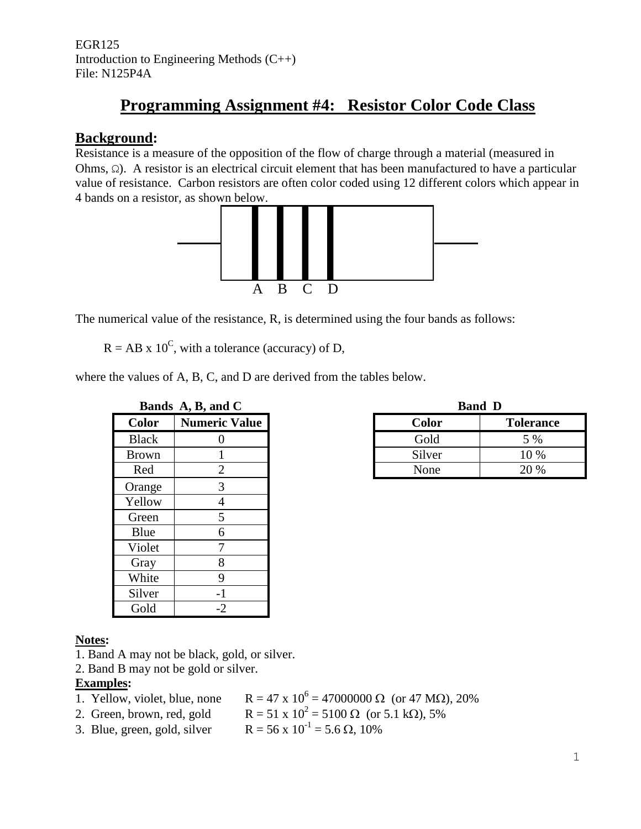EGR125 Introduction to Engineering Methods (C++) File: N125P4A

# **Programming Assignment #4: Resistor Color Code Class**

## **Background:**

Resistance is a measure of the opposition of the flow of charge through a material (measured in Ohms, Ω). A resistor is an electrical circuit element that has been manufactured to have a particular value of resistance. Carbon resistors are often color coded using 12 different colors which appear in 4 bands on a resistor, as shown below.



The numerical value of the resistance, R, is determined using the four bands as follows:

 $R = AB \times 10^{C}$ , with a tolerance (accuracy) of D,

where the values of A, B, C, and D are derived from the tables below.

|              | Bands A, B, and C    |
|--------------|----------------------|
| Color        | <b>Numeric Value</b> |
| <b>Black</b> | 0                    |
| <b>Brown</b> |                      |
| Red          | $\overline{2}$       |
| Orange       | 3                    |
| Yellow       | $\overline{4}$       |
| Green        | 5                    |
| Blue         | 6                    |
| Violet       | $\boldsymbol{7}$     |
| Gray         | 8                    |
| White        | 9                    |
| Silver       | $-1$                 |
| Gold         | -2                   |

|              | Bands A, B, and C    | <b>Band</b>  |                  |
|--------------|----------------------|--------------|------------------|
| <b>Color</b> | <b>Numeric Value</b> | <b>Color</b> | <b>Tolerance</b> |
| <b>Black</b> |                      | Gold         | 5 %              |
| Brown        |                      | Silver       | 10 %             |
| Red          |                      | None         | 20 %             |
|              |                      |              |                  |

## **Notes:**

- 1. Band A may not be black, gold, or silver.
- 2. Band B may not be gold or silver.

#### **Examples:**

- 1. Yellow, violet, blue, none
- $R = 47 \times 10^6 = 47000000 \Omega$  (or 47 M $\Omega$ ), 20%  $R = 51 \times 10^2 = 5100 \Omega$  (or 5.1 kΩ), 5%
- 2. Green, brown, red, gold
	- $R = 56 \times 10^{-1} = 5.6 \Omega$ , 10%
- $3.$  Blue, green, gold, silver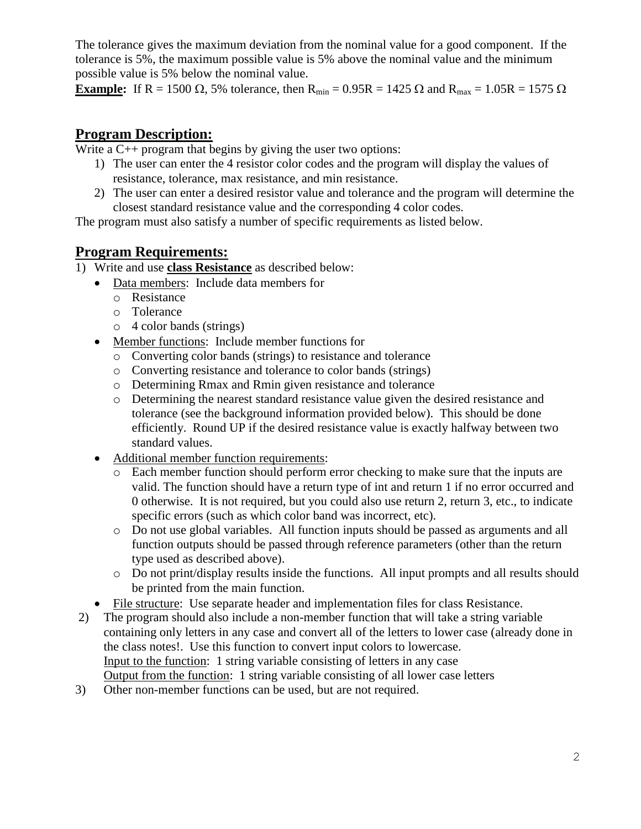The tolerance gives the maximum deviation from the nominal value for a good component. If the tolerance is 5%, the maximum possible value is 5% above the nominal value and the minimum possible value is 5% below the nominal value.

**Example:** If R = 1500  $\Omega$ , 5% tolerance, then R<sub>min</sub> = 0.95R = 1425  $\Omega$  and R<sub>max</sub> = 1.05R = 1575  $\Omega$ 

## **Program Description:**

Write a  $C_{++}$  program that begins by giving the user two options:

- 1) The user can enter the 4 resistor color codes and the program will display the values of resistance, tolerance, max resistance, and min resistance.
- 2) The user can enter a desired resistor value and tolerance and the program will determine the closest standard resistance value and the corresponding 4 color codes.

The program must also satisfy a number of specific requirements as listed below.

## **Program Requirements:**

- 1) Write and use **class Resistance** as described below:
	- Data members: Include data members for
		- o Resistance
		- o Tolerance
		- o 4 color bands (strings)
	- Member functions: Include member functions for
		- o Converting color bands (strings) to resistance and tolerance
		- o Converting resistance and tolerance to color bands (strings)
		- o Determining Rmax and Rmin given resistance and tolerance
		- o Determining the nearest standard resistance value given the desired resistance and tolerance (see the background information provided below). This should be done efficiently. Round UP if the desired resistance value is exactly halfway between two standard values.
	- Additional member function requirements:
		- o Each member function should perform error checking to make sure that the inputs are valid. The function should have a return type of int and return 1 if no error occurred and 0 otherwise. It is not required, but you could also use return 2, return 3, etc., to indicate specific errors (such as which color band was incorrect, etc).
		- o Do not use global variables. All function inputs should be passed as arguments and all function outputs should be passed through reference parameters (other than the return type used as described above).
		- o Do not print/display results inside the functions. All input prompts and all results should be printed from the main function.
	- File structure: Use separate header and implementation files for class Resistance.
- 2) The program should also include a non-member function that will take a string variable containing only letters in any case and convert all of the letters to lower case (already done in the class notes!. Use this function to convert input colors to lowercase. Input to the function: 1 string variable consisting of letters in any case Output from the function: 1 string variable consisting of all lower case letters
- 3) Other non-member functions can be used, but are not required.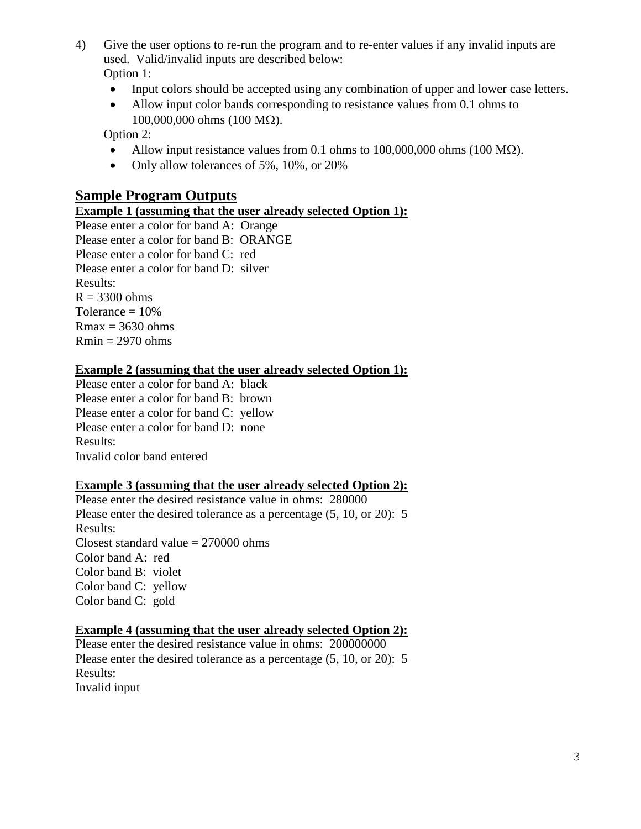- 4) Give the user options to re-run the program and to re-enter values if any invalid inputs are used. Valid/invalid inputs are described below: Option 1:
	- Input colors should be accepted using any combination of upper and lower case letters.
	- Allow input color bands corresponding to resistance values from 0.1 ohms to  $100,000,000$  ohms  $(100 \text{ M}\Omega)$ .

Option 2:

- Allow input resistance values from 0.1 ohms to  $100,000,000$  ohms (100 M $\Omega$ ).
- Only allow tolerances of 5%, 10%, or 20%

## **Sample Program Outputs**

#### **Example 1 (assuming that the user already selected Option 1):**

Please enter a color for band A: Orange Please enter a color for band B: ORANGE Please enter a color for band C: red Please enter a color for band D: silver Results:  $R = 3300$  ohms Tolerance  $= 10\%$  $Rmax = 3630 ohms$  $Rmin = 2970 ohms$ 

#### **Example 2 (assuming that the user already selected Option 1):**

Please enter a color for band A: black Please enter a color for band B: brown Please enter a color for band C: yellow Please enter a color for band D: none Results: Invalid color band entered

### **Example 3 (assuming that the user already selected Option 2):**

Please enter the desired resistance value in ohms: 280000 Please enter the desired tolerance as a percentage (5, 10, or 20): 5 Results: Closest standard value  $= 270000$  ohms Color band A: red Color band B: violet Color band C: yellow Color band C: gold

#### **Example 4 (assuming that the user already selected Option 2):**

Please enter the desired resistance value in ohms: 200000000 Please enter the desired tolerance as a percentage (5, 10, or 20): 5 Results: Invalid input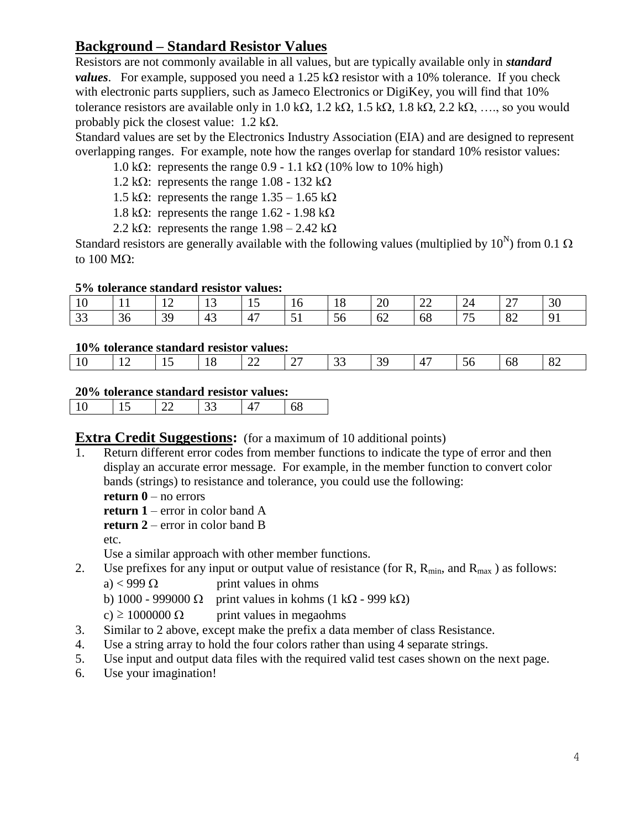## **Background – Standard Resistor Values**

Resistors are not commonly available in all values, but are typically available only in *standard values*. For example, supposed you need a 1.25 k $\Omega$  resistor with a 10% tolerance. If you check with electronic parts suppliers, such as Jameco Electronics or DigiKey, you will find that 10% tolerance resistors are available only in 1.0 k $\Omega$ , 1.2 k $\Omega$ , 1.5 k $\Omega$ , 1.8 k $\Omega$ , 2.2 k $\Omega$ , …, so you would probably pick the closest value:  $1.2 \text{ k}\Omega$ .

Standard values are set by the Electronics Industry Association (EIA) and are designed to represent overlapping ranges. For example, note how the ranges overlap for standard 10% resistor values:

- 1.0 k $\Omega$ : represents the range 0.9 1.1 k $\Omega$  (10% low to 10% high)
- 1.2 k $\Omega$ : represents the range 1.08 132 k $\Omega$
- 1.5 k $\Omega$ : represents the range 1.35 1.65 k $\Omega$
- 1.8 k $\Omega$ : represents the range 1.62 1.98 k $\Omega$
- 2.2 k $\Omega$ : represents the range  $1.98 2.42$  k $\Omega$

Standard resistors are generally available with the following values (multiplied by  $10^N$ ) from 0.1  $\Omega$ to  $100$  M $\Omega$ :

### **5% tolerance standard resistor values:**

| TÛ              |    | $\overline{1}$ | ⊥ J | <b>*</b><br>$\sim$  | 10<br>$\sim$                  | ⊥∪ | 20<br>__ | $\sim$<br>∠∠ | $\Delta$       | $\sim$<br>$\overline{\phantom{0}}$ | 30       |
|-----------------|----|----------------|-----|---------------------|-------------------------------|----|----------|--------------|----------------|------------------------------------|----------|
| $\Omega$<br>ر ر | 36 | 39             | 43  | $\overline{A}$<br>4 | $\overline{\phantom{a}}$<br>ັ |    | ∪∠       | 68           | $\overline{ }$ | $\mathbf{O}^{\prime}$<br>o∠        | $\Omega$ |

### **10% tolerance standard resistor values:**

|  | 1 V |  | . . | ⊥∪ | $\sim$<br>-- | $\sim$<br>∼ | ັ | . . |  | ັ | oð | $\Omega$<br>$\sigma$ |
|--|-----|--|-----|----|--------------|-------------|---|-----|--|---|----|----------------------|
|--|-----|--|-----|----|--------------|-------------|---|-----|--|---|----|----------------------|

### **20% tolerance standard resistor values:**

|--|--|--|--|--|--|--|--|

## **Extra Credit Suggestions:** (for a maximum of 10 additional points)

1. Return different error codes from member functions to indicate the type of error and then display an accurate error message. For example, in the member function to convert color bands (strings) to resistance and tolerance, you could use the following:

**return 0** – no errors

**return 1** – error in color band A

**return 2** – error in color band B

etc.

Use a similar approach with other member functions.

2. Use prefixes for any input or output value of resistance (for R,  $R_{min}$ , and  $R_{max}$ ) as follows:

a) < 999  $\Omega$  print values in ohms

b) 1000 - 999000  $\Omega$  print values in kohms (1 k $\Omega$  - 999 k $\Omega$ )

c)  $\geq$  1000000  $\Omega$  print values in megaohms

- 3. Similar to 2 above, except make the prefix a data member of class Resistance.
- 4. Use a string array to hold the four colors rather than using 4 separate strings.
- 5. Use input and output data files with the required valid test cases shown on the next page.
- 6. Use your imagination!